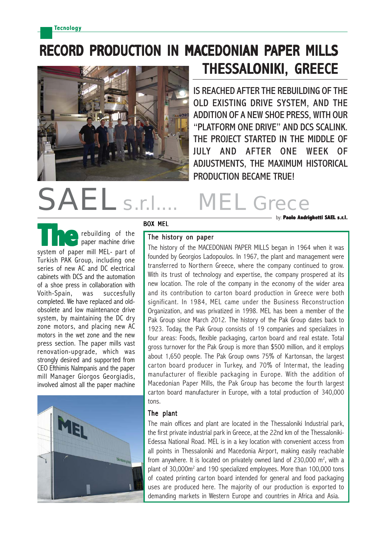## RECORD PRODUCTION IN MACEDONIAN PAPER MILLS THESSALONIKI, GREECE



IS REACHED AFTER THE REBUILDING OF THE OLD EXISTING DRIVE SYSTEM, AND THE ADDITION OF A NEW SHOE PRESS, WITH OUR "PLATFORM ONE DRIVE" AND DCS SCALINK. THE PROJECT STARTED IN THE MIDDLE OF JULY AND AFTER ONE WEEK OF ADJUSTMENTS, THE MAXIMUM HISTORICAL PRODUCTION BECAME TRUE!

## NH Gre by: **Paolo Andrighetti SAEL s.r.l.**

BOX MEL

The history on paper

rebuilding of the paper machine drive **Theorem is a starting of the**<br>
system of paper mill MEL- part of Turkish PAK Group, including one series of new AC and DC electrical cabinets with DCS and the automation of a shoe press in collaboration with Voith-Spain, was succesfully completed. We have replaced and oldobsolete and low maintenance drive system, by maintaining the DC dry zone motors, and placing new AC motors in the wet zone and the new press section. The paper mills vast renovation-upgrade, which was strongly desired and supported from CEO Efthimis Nalmpanis and the paper mill Manager Giorgos Georgiadis, involved almost all the paper machine



The history of the MACEDONIAN PAPER MILLS began in 1964 when it was founded by Georgios Ladopoulos. In 1967, the plant and management were transferred to Northern Greece, where the company continued to grow. With its trust of technology and expertise, the company prospered at its new location. The role of the company in the economy of the wider area and its contribution to carton board production in Greece were both significant. In 1984, MEL came under the Business Reconstruction Organization, and was privatized in 1998. MEL has been a member of the Pak Group since March 2012. The history of the Pak Group dates back to 1923. Today, the Pak Group consists of 19 companies and specializes in four areas: Foods, flexible packaging, carton board and real estate. Total gross turnover for the Pak Group is more than \$500 million, and it employs about 1,650 people. The Pak Group owns 75% of Kartonsan, the largest carton board producer in Turkey, and 70% of Intermat, the leading manufacturer of flexible packaging in Europe. With the addition of Macedonian Paper Mills, the Pak Group has become the fourth largest carton board manufacturer in Europe, with a total production of 340,000 tons.

## The plant

The main offices and plant are located in the Thessaloniki Industrial park, the first private industrial park in Greece, at the 22nd km of the Thessaloniki-Edessa National Road. MEL is in a key location with convenient access from all points in Thessaloniki and Macedonia Airport, making easily reachable from anywhere. It is located on privately owned land of 230,000  $\textsf{m}^2,$  with a plant of 30,000m<sup>2</sup> and 190 specialized employees. More than 100,000 tons of coated printing carton board intended for general and food packaging uses are produced here. The majority of our production is exported to demanding markets in Western Europe and countries in Africa and Asia.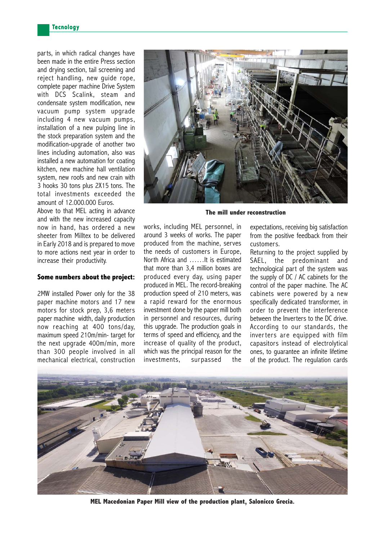parts, in which radical changes have been made in the entire Press section and drying section, tail screening and reject handling, new guide rope, complete paper machine Drive System with DCS Scalink, steam and condensate system modification, new vacuum pump system upgrade including 4 new vacuum pumps, installation of a new pulping line in the stock preparation system and the modification-upgrade of another two lines including automation, also was installed a new automation for coating kitchen, new machine hall ventilation system, new roofs and new crain with 3 hooks 30 tons plus 2X15 tons. The total investments exceeded the amount of 12.000.000 Euros.

Above to that MEL acting in advance and with the new increased capacity now in hand, has ordered a new sheeter from Milltex to be delivered in Early 2018 and is prepared to move to more actions next year in order to increase their productivity.

## **Some numbers about the project:**

2MW installed Power only for the 38 paper machine motors and 17 new motors for stock prep, 3,6 meters paper machine width, daily production now reaching at 400 tons/day, maximum speed 210m/min- target for the next upgrade 400m/min, more than 300 people involved in all mechanical electrical, construction



**The mill under reconstruction**

works, including MEL personnel, in around 3 weeks of works. The paper produced from the machine, serves the needs of customers in Europe, North Africa and ……It is estimated that more than 3,4 million boxes are produced every day, using paper produced in MEL. The record-breaking production speed of 210 meters, was a rapid reward for the enormous investment done by the paper mill both in personnel and resources, during this upgrade. The production goals in terms of speed and efficiency, and the increase of quality of the product, which was the principal reason for the investments, surpassed the expectations, receiving big satisfaction from the positive feedback from their customers.

Returning to the project supplied by SAEL, the predominant and technological part of the system was the supply of DC / AC cabinets for the control of the paper machine. The AC cabinets were powered by a new specifically dedicated transformer, in order to prevent the interference between the Inverters to the DC drive. According to our standards, the inverters are equipped with film capasitors instead of electrolytical ones, to guarantee an infinite lifetime of the product. The regulation cards



**MEL Macedonian Paper Mill view of the production plant, Salonicco Grecia.**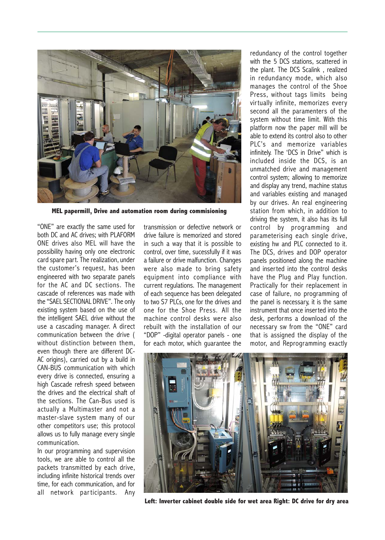

**MEL papermill, Drive and automation room during commisioning**

"ONE" are exactly the same used for both DC and AC drives; with PLAFORM ONE drives also MEL will have the possibility having only one electronic card spare part. The realization, under the customer's request, has been engineered with two separate panels for the AC and DC sections. The cascade of references was made with the "SAEL SECTIONAL DRIVE". The only existing system based on the use of the intelligent SAEL drive without the use a cascading manager. A direct communication between the drive ( without distinction between them, even though there are different DC-AC origins), carried out by a build in CAN-BUS communication with which every drive is connected, ensuring a high Cascade refresh speed between the drives and the electrical shaft of the sections. The Can-Bus used is actually a Multimaster and not a master-slave system many of our other competitors use; this protocol allows us to fully manage every single communication.

In our programming and supervision tools, we are able to control all the packets transmitted by each drive, including infinite historical trends over time, for each communication, and for all network participants. Any transmission or defective network or drive failure is memorized and stored in such a way that it is possible to control, over time, sucessfully if it was a failure or drive malfunction. Changes were also made to bring safety equipment into compliance with current regulations. The management of each sequence has been delegated to two S7 PLCs, one for the drives and one for the Shoe Press. All the machine control desks were also rebuilt with the installation of our "DOP" -digital operator panels - one for each motor, which guarantee the

redundancy of the control together with the 5 DCS stations, scattered in the plant. The DCS Scalink , realized in redundancy mode, which also manages the control of the Shoe Press, without tags limits being virtually infinite, memorizes every second all the paramenters of the system without time limit. With this platform now the paper mill will be able to extend its control also to other PLC's and memorize variables infinitely. The 'DCS in Drive" which is included inside the DCS, is an unmatched drive and management control system; allowing to memorize and display any trend, machine status and variables existing and managed by our drives. An real engineering station from which, in addition to driving the system, it also has its full control by programming and parameterising each single drive, existing hw and PLC connected to it. The DCS, drives and DOP operator panels positioned along the machine and inserted into the control desks have the Plug and Play function. Practically for their replacement in case of failure, no programming of the panel is necessary, it is the same instrument that once inserted into the desk, performs a download of the necessary sw from the "ONE" card that is assigned the display of the motor, and Reprogramming exactly



**Left: Inverter cabinet double side for wet area Right: DC drive for dry area**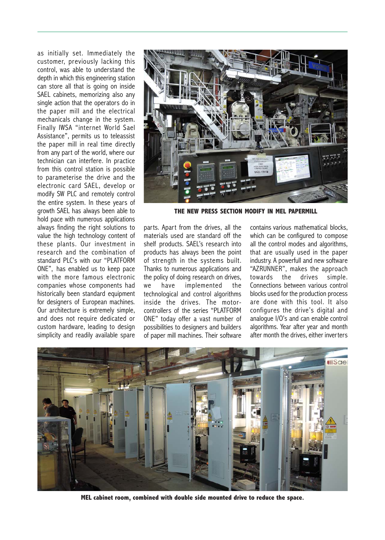as initially set. Immediately the customer, previously lacking this control, was able to understand the depth in which this engineering station can store all that is going on inside SAEL cabinets, memorizing also any single action that the operators do in the paper mill and the electrical mechanicals change in the system. Finally IWSA "internet World Sael Assistance", permits us to teleassist the paper mill in real time directly from any part of the world, where our technician can interfere. In practice from this control station is possible to parameterise the drive and the electronic card SAEL, develop or modify SW PLC and remotely control the entire system. In these years of growth SAEL has always been able to hold pace with numerous applications always finding the right solutions to value the high technology content of these plants. Our investment in research and the combination of standard PLC's with our "PLATFORM ONE", has enabled us to keep pace with the more famous electronic companies whose components had historically been standard equipment for designers of European machines. Our architecture is extremely simple, and does not require dedicated or custom hardware, leading to design simplicity and readily available spare



**THE NEW PRESS SECTION MODIFY IN MEL PAPERMILL**

parts. Apart from the drives, all the materials used are standard off the shelf products. SAEL's research into products has always been the point of strength in the systems built. Thanks to numerous applications and the policy of doing research on drives,<br>we have implemented the we have implemented the technological and control algorithms inside the drives. The motorcontrollers of the series "PLATFORM ONE" today offer a vast number of possibilities to designers and builders of paper mill machines. Their software contains various mathematical blocks, which can be configured to compose all the control modes and algorithms, that are usually used in the paper industry. A powerfull and new software "AZRUNNER", makes the approach towards the drives simple. Connections between various control blocks used for the production process are done with this tool. It also configures the drive's digital and analogue I/O's and can enable control algorithms. Year after year and month after month the drives, either inverters



**MEL cabinet room, combined with double side mounted drive to reduce the space.**